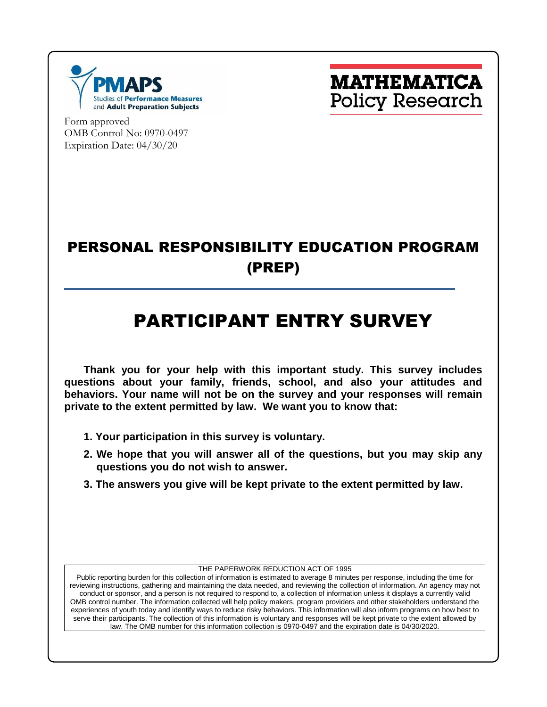



Form approved OMB Control No: 0970-0497 Expiration Date: 04/30/20

# PERSONAL RESPONSIBILITY EDUCATION PROGRAM (PREP)

# PARTICIPANT ENTRY SURVEY

**Thank you for your help with this important study. This survey includes questions about your family, friends, school, and also your attitudes and behaviors. Your name will not be on the survey and your responses will remain private to the extent permitted by law. We want you to know that:**

- **1. Your participation in this survey is voluntary.**
- **2. We hope that you will answer all of the questions, but you may skip any questions you do not wish to answer.**
- **3. The answers you give will be kept private to the extent permitted by law.**

THE PAPERWORK REDUCTION ACT OF 1995

Public reporting burden for this collection of information is estimated to average 8 minutes per response, including the time for reviewing instructions, gathering and maintaining the data needed, and reviewing the collection of information. An agency may not conduct or sponsor, and a person is not required to respond to, a collection of information unless it displays a currently valid OMB control number. The information collected will help policy makers, program providers and other stakeholders understand the experiences of youth today and identify ways to reduce risky behaviors. This information will also inform programs on how best to serve their participants. The collection of this information is voluntary and responses will be kept private to the extent allowed by law. The OMB number for this information collection is 0970-0497 and the expiration date is 04/30/2020.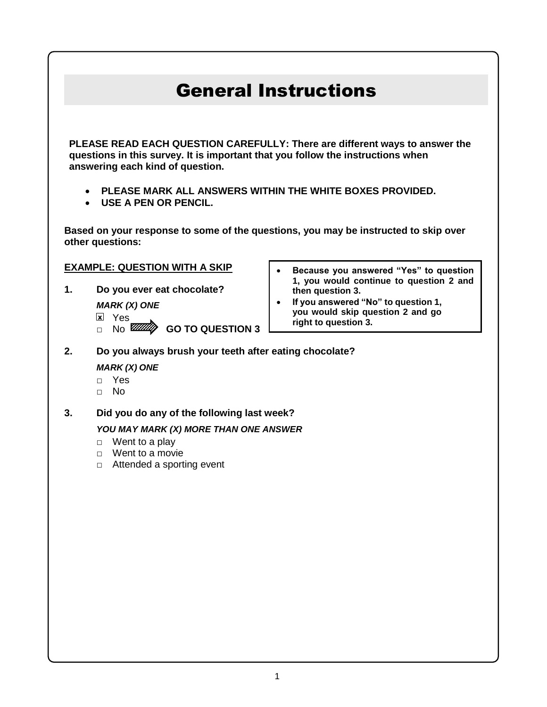# General Instructions

**PLEASE READ EACH QUESTION CAREFULLY: There are different ways to answer the questions in this survey. It is important that you follow the instructions when answering each kind of question.**

- **PLEASE MARK ALL ANSWERS WITHIN THE WHITE BOXES PROVIDED.**
- **USE A PEN OR PENCIL.**

**Based on your response to some of the questions, you may be instructed to skip over other questions:** 

### **EXAMPLE: QUESTION WITH A SKIP**

- **1. Do you ever eat chocolate?**
	- *MARK (X) ONE*
	- <u>x</u>l Yes
	- □ No **WWW** GO TO QUESTION 3
- **Because you answered "Yes" to question 1, you would continue to question 2 and then question 3.**
- **If you answered "No" to question 1, you would skip question 2 and go right to question 3.**
- **2. Do you always brush your teeth after eating chocolate?** *MARK (X) ONE*
	- □ Yes
	- □ No
- **3. Did you do any of the following last week?**

### *YOU MAY MARK (X) MORE THAN ONE ANSWER*

- $\Box$  Went to a play
- □ Went to a movie
- □ Attended a sporting event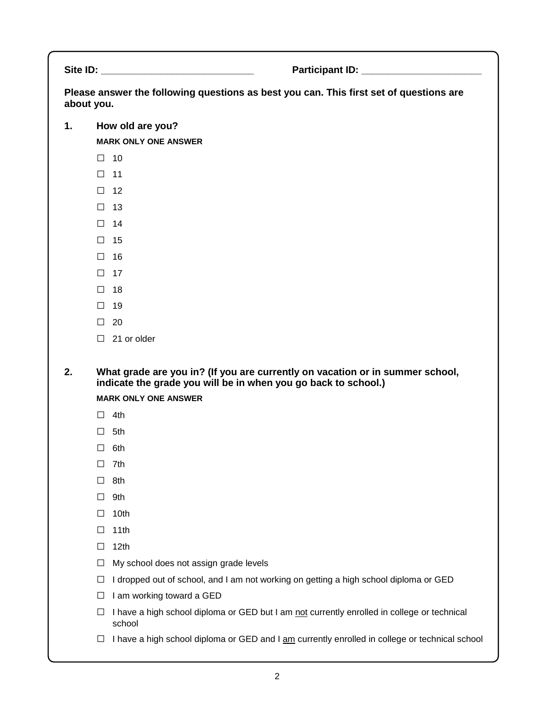Site ID: **Example 20 and 20 and 20 and 20 and 20 and 20 and 20 and 20 and 20 and 20 and 20 and 20 and 20 and 20 and 20 and 20 and 20 and 20 and 20 and 20 and 20 and 20 and 20 and 20 and 20 and 20 and 20 and 20 and 20 and 2** 

**Please answer the following questions as best you can. This first set of questions are about you.**

**1. How old are you?**

**MARK ONLY ONE ANSWER**

- □ <sup>10</sup>
- □ <sup>11</sup>
- □ <sup>12</sup>
- □ <sup>13</sup>
- □ <sup>14</sup>
- □ <sup>15</sup>
- □ <sup>16</sup>
- □ <sup>17</sup>
- □ <sup>18</sup>
- □ <sup>19</sup>
- □ <sup>20</sup>
- □ 21 or older

**2. What grade are you in? (If you are currently on vacation or in summer school, indicate the grade you will be in when you go back to school.)**

**MARK ONLY ONE ANSWER**

- $\Box$  4th
- □ 5th
- □ 6th
- □ 7th
- □ 8th
- □ 9th
- □ 10th
- □ 11th
- □ 12th
- $\Box$  My school does not assign grade levels
- □ I dropped out of school, and I am not working on getting a high school diploma or GED
- $\Box$  I am working toward a GED
- $\Box$  I have a high school diploma or GED but I am not currently enrolled in college or technical school
- $\Box$  I have a high school diploma or GED and I am currently enrolled in college or technical school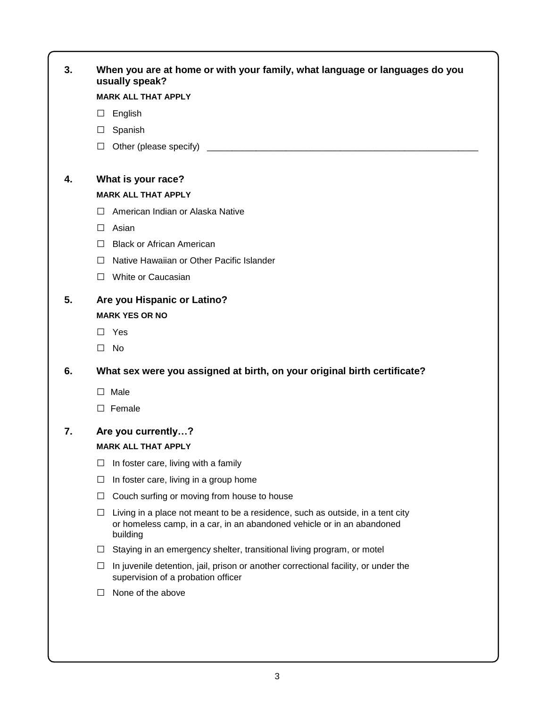| 3. | When you are at home or with your family, what language or languages do you<br>usually speak?                                                                             |  |  |  |  |  |
|----|---------------------------------------------------------------------------------------------------------------------------------------------------------------------------|--|--|--|--|--|
|    | <b>MARK ALL THAT APPLY</b>                                                                                                                                                |  |  |  |  |  |
|    | English<br>$\Box$                                                                                                                                                         |  |  |  |  |  |
|    | $\Box$ Spanish                                                                                                                                                            |  |  |  |  |  |
|    | Other (please specify)<br>$\Box$                                                                                                                                          |  |  |  |  |  |
| 4. | What is your race?                                                                                                                                                        |  |  |  |  |  |
|    | <b>MARK ALL THAT APPLY</b>                                                                                                                                                |  |  |  |  |  |
|    | American Indian or Alaska Native<br>$\perp$                                                                                                                               |  |  |  |  |  |
|    | Asian<br>П.                                                                                                                                                               |  |  |  |  |  |
|    | <b>Black or African American</b><br>$\Box$                                                                                                                                |  |  |  |  |  |
|    | Native Hawaiian or Other Pacific Islander<br>$\perp$                                                                                                                      |  |  |  |  |  |
|    | □ White or Caucasian                                                                                                                                                      |  |  |  |  |  |
| 5. | Are you Hispanic or Latino?                                                                                                                                               |  |  |  |  |  |
|    | <b>MARK YES OR NO</b>                                                                                                                                                     |  |  |  |  |  |
|    | $\Box$ Yes                                                                                                                                                                |  |  |  |  |  |
|    | No<br>П                                                                                                                                                                   |  |  |  |  |  |
|    |                                                                                                                                                                           |  |  |  |  |  |
| 6. | What sex were you assigned at birth, on your original birth certificate?                                                                                                  |  |  |  |  |  |
|    | $\square$ Male                                                                                                                                                            |  |  |  |  |  |
|    | $\Box$ Female                                                                                                                                                             |  |  |  |  |  |
| 7. | Are you currently?                                                                                                                                                        |  |  |  |  |  |
|    | <b>MARK ALL THAT APPLY</b>                                                                                                                                                |  |  |  |  |  |
|    | In foster care, living with a family<br>⊔                                                                                                                                 |  |  |  |  |  |
|    | In foster care, living in a group home<br>Ш                                                                                                                               |  |  |  |  |  |
|    | Couch surfing or moving from house to house<br>□                                                                                                                          |  |  |  |  |  |
|    | Living in a place not meant to be a residence, such as outside, in a tent city<br>⊔<br>or homeless camp, in a car, in an abandoned vehicle or in an abandoned<br>building |  |  |  |  |  |
|    | Staying in an emergency shelter, transitional living program, or motel<br>$\Box$                                                                                          |  |  |  |  |  |
|    | In juvenile detention, jail, prison or another correctional facility, or under the<br>⊔<br>supervision of a probation officer                                             |  |  |  |  |  |
|    | None of the above<br>⊔                                                                                                                                                    |  |  |  |  |  |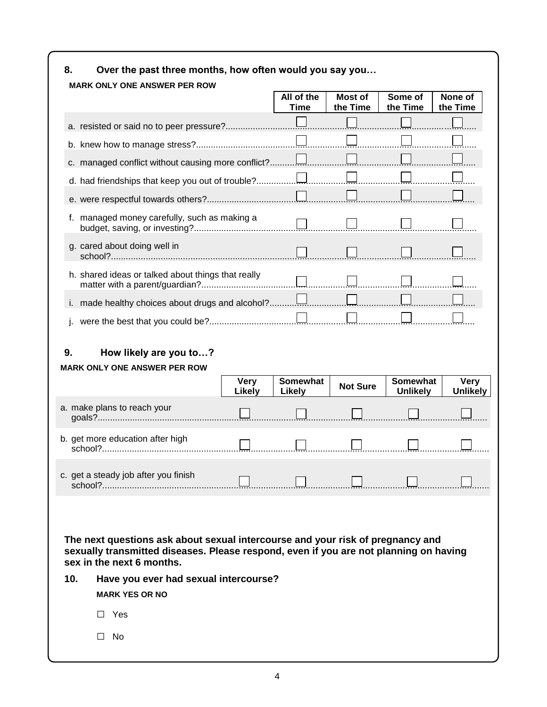| 8.  | Over the past three months, how often would you say you                                                                                                                                                                                                                |                       |                           |                     |                             |                                |
|-----|------------------------------------------------------------------------------------------------------------------------------------------------------------------------------------------------------------------------------------------------------------------------|-----------------------|---------------------------|---------------------|-----------------------------|--------------------------------|
|     | <b>MARK ONLY ONE ANSWER PER ROW</b>                                                                                                                                                                                                                                    |                       | All of the<br><b>Time</b> | Most of<br>the Time | Some of<br>the Time         | None of<br>the Time            |
|     |                                                                                                                                                                                                                                                                        |                       |                           |                     |                             |                                |
|     |                                                                                                                                                                                                                                                                        |                       |                           |                     |                             |                                |
|     |                                                                                                                                                                                                                                                                        |                       |                           |                     |                             |                                |
|     |                                                                                                                                                                                                                                                                        |                       |                           |                     |                             |                                |
|     |                                                                                                                                                                                                                                                                        |                       |                           |                     |                             |                                |
|     | f. managed money carefully, such as making a                                                                                                                                                                                                                           |                       |                           |                     |                             |                                |
|     | g. cared about doing well in                                                                                                                                                                                                                                           |                       |                           |                     |                             |                                |
|     | h. shared ideas or talked about things that really                                                                                                                                                                                                                     |                       |                           |                     |                             |                                |
|     | i. made healthy choices about drugs and alcohol?                                                                                                                                                                                                                       |                       |                           |                     |                             |                                |
|     |                                                                                                                                                                                                                                                                        |                       |                           |                     |                             |                                |
|     | <b>MARK ONLY ONE ANSWER PER ROW</b>                                                                                                                                                                                                                                    |                       |                           |                     |                             |                                |
|     |                                                                                                                                                                                                                                                                        | <b>Very</b><br>Likely | Somewhat<br><b>Likely</b> | <b>Not Sure</b>     | Somewhat<br><b>Unlikely</b> | <b>Very</b><br><b>Unlikely</b> |
|     | a. make plans to reach your                                                                                                                                                                                                                                            |                       |                           |                     |                             |                                |
|     | b. get more education after high                                                                                                                                                                                                                                       |                       |                           |                     |                             |                                |
|     | c. get a steady job after you finish                                                                                                                                                                                                                                   |                       |                           |                     |                             |                                |
| 10. | The next questions ask about sexual intercourse and your risk of pregnancy and<br>sexually transmitted diseases. Please respond, even if you are not planning on having<br>sex in the next 6 months.<br>Have you ever had sexual intercourse?<br><b>MARK YES OR NO</b> |                       |                           |                     |                             |                                |
|     | Yes<br>$\perp$                                                                                                                                                                                                                                                         |                       |                           |                     |                             |                                |
|     | No<br>$\perp$                                                                                                                                                                                                                                                          |                       |                           |                     |                             |                                |